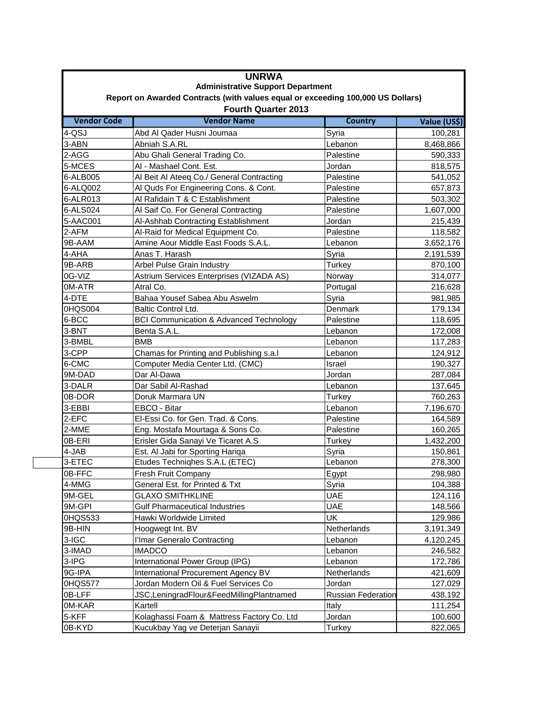|                            | <b>UNRWA</b>                                                                    |                           |              |  |
|----------------------------|---------------------------------------------------------------------------------|---------------------------|--------------|--|
|                            | <b>Administrative Support Department</b>                                        |                           |              |  |
|                            | Report on Awarded Contracts (with values equal or exceeding 100,000 US Dollars) |                           |              |  |
| <b>Fourth Quarter 2013</b> |                                                                                 |                           |              |  |
| <b>Vendor Code</b>         | <b>Vendor Name</b>                                                              | <b>Country</b>            | Value (US\$) |  |
| 4-QSJ                      | Abd Al Qader Husni Joumaa                                                       | Syria                     | 100,281      |  |
| 3-ABN                      | Abniah S.A.RL                                                                   | Lebanon                   | 8,468,866    |  |
| 2-AGG                      | Abu Ghali General Trading Co.                                                   | Palestine                 | 590,333      |  |
| 5-MCES                     | AI - Mashael Cont. Est.                                                         | Jordan                    | 818,575      |  |
| 6-ALB005                   | Al Beit Al Ateeq Co./ General Contracting                                       | Palestine                 | 541,052      |  |
| 6-ALQ002                   | Al Quds For Engineering Cons. & Cont.                                           | Palestine                 | 657,873      |  |
| 6-ALR013                   | Al Rafidain T & C Establishment                                                 | Palestine                 | 503,302      |  |
| 6-ALS024                   | Al Saif Co. For General Contracting                                             | Palestine                 | 1,607,000    |  |
| 5-AAC001                   | Al-Ashhab Contracting Establishment                                             | Jordan                    | 215,439      |  |
| 2-AFM                      | Al-Raid for Medical Equipment Co.                                               | Palestine                 | 118,582      |  |
| 9B-AAM                     | Amine Aour Middle East Foods S.A.L.                                             | Lebanon                   | 3,652,176    |  |
| 4-AHA                      | Anas T. Harash                                                                  | Syria                     | 2,191,539    |  |
| 9B-ARB                     | Arbel Pulse Grain Industry                                                      | Turkey                    | 870,100      |  |
| 0G-VIZ                     | Astrium Services Enterprises (VIZADA AS)                                        | Norway                    | 314,077      |  |
| 0M-ATR                     | Atral Co.                                                                       | Portugal                  | 216,628      |  |
| 4-DTE                      | Bahaa Yousef Sabea Abu Aswelm                                                   | Syria                     | 981,985      |  |
| 0HQS004                    | Baltic Control Ltd.                                                             | Denmark                   | 179,134      |  |
| 6-BCC                      | <b>BCI Communication &amp; Advanced Technology</b>                              | Palestine                 | 118,695      |  |
| 3-BNT                      | Benta S.A.L.                                                                    | Lebanon                   | 172,008      |  |
| 3-BMBL                     | <b>BMB</b>                                                                      | Lebanon                   | 117,283      |  |
| 3-CPP                      | Chamas for Printing and Publishing s.a.l                                        | Lebanon                   | 124,912      |  |
| 6-CMC                      | Computer Media Center Ltd. (CMC)                                                | Israel                    | 190,327      |  |
| 9M-DAD                     | Dar Al-Dawa                                                                     | Jordan                    | 287,084      |  |
| 3-DALR                     | Dar Sabil Al-Rashad                                                             | Lebanon                   | 137,645      |  |
| 0B-DOR                     | Doruk Marmara UN                                                                | Turkey                    | 760,263      |  |
| 3-EBBI                     | EBCO - Bitar                                                                    | Lebanon                   | 7,196,670    |  |
| 2-EFC                      | El-Essi Co. for Gen. Trad. & Cons.                                              | Palestine                 | 164,589      |  |
| 2-MME                      | Eng. Mostafa Mourtaga & Sons Co.                                                | Palestine                 | 160,265      |  |
| 0B-ERI                     | Erisler Gida Sanayi Ve Ticaret A.S                                              | Turkey                    | 1,432,200    |  |
| 4-JAB                      | Est. Al Jabi for Sporting Hariqa                                                | Syria                     | 150,861      |  |
| 3-ETEC                     | Etudes Techniqhes S.A.L (ETEC)                                                  | Lebanon                   | 278,300      |  |
| 0B-FFC                     | Fresh Fruit Company                                                             | Egypt                     | 298,980      |  |
| 4-MMG                      | General Est. for Printed & Txt                                                  | Syria                     | 104,388      |  |
| 9M-GEL                     | <b>GLAXO SMITHKLINE</b>                                                         | <b>UAE</b>                | 124,116      |  |
| 9M-GPI                     | <b>Gulf Pharmaceutical Industries</b>                                           | <b>UAE</b>                | 148,566      |  |
| 0HQS533                    | Hawki Worldwide Limited                                                         | UK                        | 129,986      |  |
| 9B-HIN                     | Hoogwegt Int. BV                                                                | Netherlands               | 3,191,349    |  |
| 3-IGC                      | l'Imar Generalo Contracting                                                     | Lebanon                   | 4,120,245    |  |
| 3-IMAD                     | <b>IMADCO</b>                                                                   | Lebanon                   | 246,582      |  |
| 3-IPG                      | International Power Group (IPG)                                                 | Lebanon                   | 172,786      |  |
| 9G-IPA                     | International Procurement Agency BV                                             | Netherlands               | 421,609      |  |
| 0HQS577                    | Jordan Modern Oil & Fuel Services Co                                            | Jordan                    | 127,029      |  |
| 0B-LFF                     | JSC, LeningradFlour&FeedMillingPlantnamed                                       | <b>Russian Federation</b> | 438,192      |  |
| 0M-KAR                     | Kartell                                                                         | Italy                     | 111,254      |  |
| 5-KFF                      | Kolaghassi Foam & Mattress Factory Co. Ltd                                      | Jordan                    | 100,600      |  |
| 0B-KYD                     | Kucukbay Yag ve Deterjan Sanayii                                                | Turkey                    | 822,065      |  |
|                            |                                                                                 |                           |              |  |